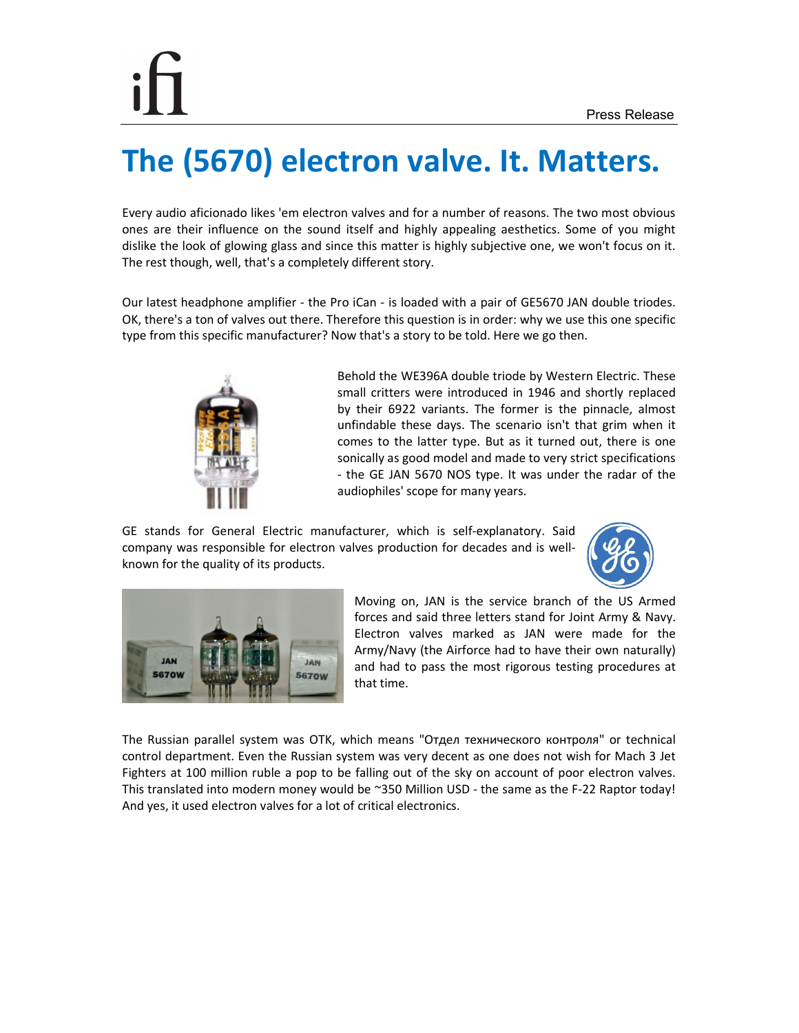## **The (5670) electron valve. It. Matters.**

Every audio aficionado likes 'em electron valves and for a number of reasons. The two most obvious ones are their influence on the sound itself and highly appealing aesthetics. Some of you might dislike the look of glowing glass and since this matter is highly subjective one, we won't focus on it. The rest though, well, that's a completely different story.

Our latest headphone amplifier - the Pro iCan - is loaded with a pair of GE5670 JAN double triodes. OK, there's a ton of valves out there. Therefore this question is in order: why we use this one specific type from this specific manufacturer? Now that's a story to be told. Here we go then.



Behold the WE396A double triode by Western Electric. These small critters were introduced in 1946 and shortly replaced by their 6922 variants. The former is the pinnacle, almost unfindable these days. The scenario isn't that grim when it comes to the latter type. But as it turned out, there is one sonically as good model and made to very strict specifications - the GE JAN 5670 NOS type. It was under the radar of the audiophiles' scope for many years.

GE stands for General Electric manufacturer, which is self-explanatory. Said company was responsible for electron valves production for decades and is wellknown for the quality of its products.





Moving on, JAN is the service branch of the US Armed forces and said three letters stand for Joint Army & Navy. Electron valves marked as JAN were made for the Army/Navy (the Airforce had to have their own naturally) and had to pass the most rigorous testing procedures at that time.

The Russian parallel system was OTK, which means "Отдел технического контроля" or technical control department. Even the Russian system was very decent as one does not wish for Mach 3 Jet Fighters at 100 million ruble a pop to be falling out of the sky on account of poor electron valves. This translated into modern money would be ~350 Million USD - the same as the F-22 Raptor today! And yes, it used electron valves for a lot of critical electronics.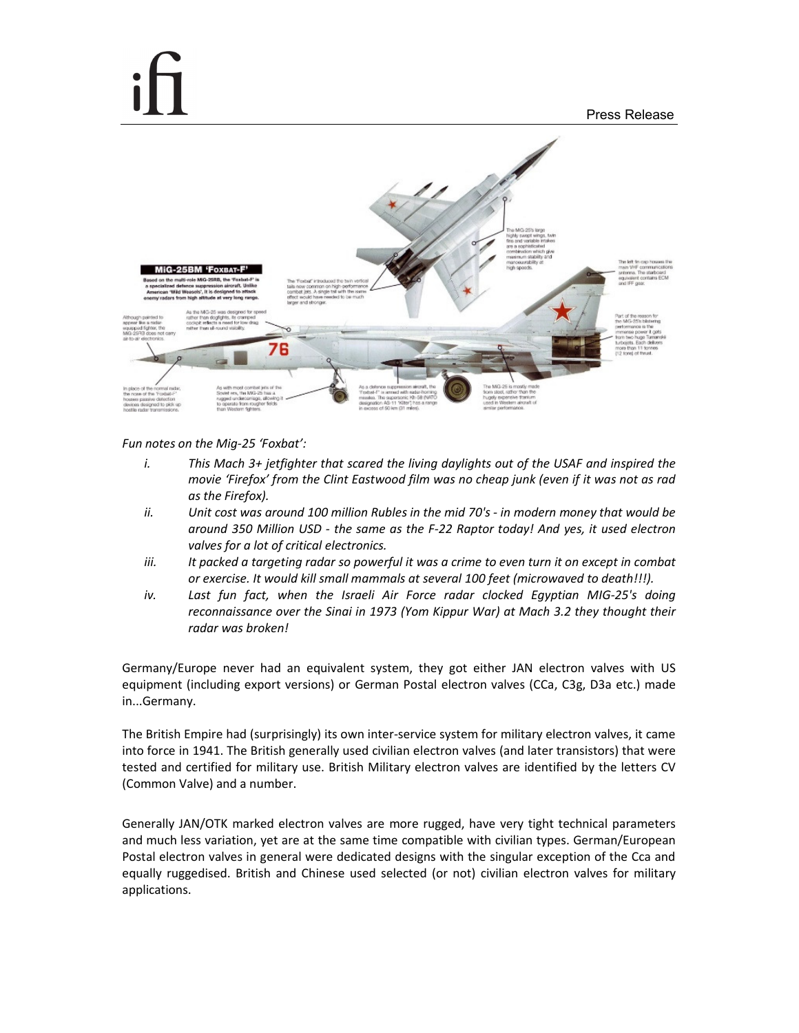

*Fun notes on the Mig-25 'Foxbat':* 

- *i. This Mach 3+ jetfighter that scared the living daylights out of the USAF and inspired the movie 'Firefox' from the Clint Eastwood film was no cheap junk (even if it was not as rad as the Firefox).*
- *ii. Unit cost was around 100 million Rubles in the mid 70's in modern money that would be around 350 Million USD - the same as the F-22 Raptor today! And yes, it used electron valves for a lot of critical electronics.*
- *iii. It packed a targeting radar so powerful it was a crime to even turn it on except in combat or exercise. It would kill small mammals at several 100 feet (microwaved to death!!!).*
- *iv. Last fun fact, when the Israeli Air Force radar clocked Egyptian MIG-25's doing reconnaissance over the Sinai in 1973 (Yom Kippur War) at Mach 3.2 they thought their radar was broken!*

Germany/Europe never had an equivalent system, they got either JAN electron valves with US equipment (including export versions) or German Postal electron valves (CCa, C3g, D3a etc.) made in...Germany.

The British Empire had (surprisingly) its own inter-service system for military electron valves, it came into force in 1941. The British generally used civilian electron valves (and later transistors) that were tested and certified for military use. British Military electron valves are identified by the letters CV (Common Valve) and a number.

Generally JAN/OTK marked electron valves are more rugged, have very tight technical parameters and much less variation, yet are at the same time compatible with civilian types. German/European Postal electron valves in general were dedicated designs with the singular exception of the Cca and equally ruggedised. British and Chinese used selected (or not) civilian electron valves for military applications.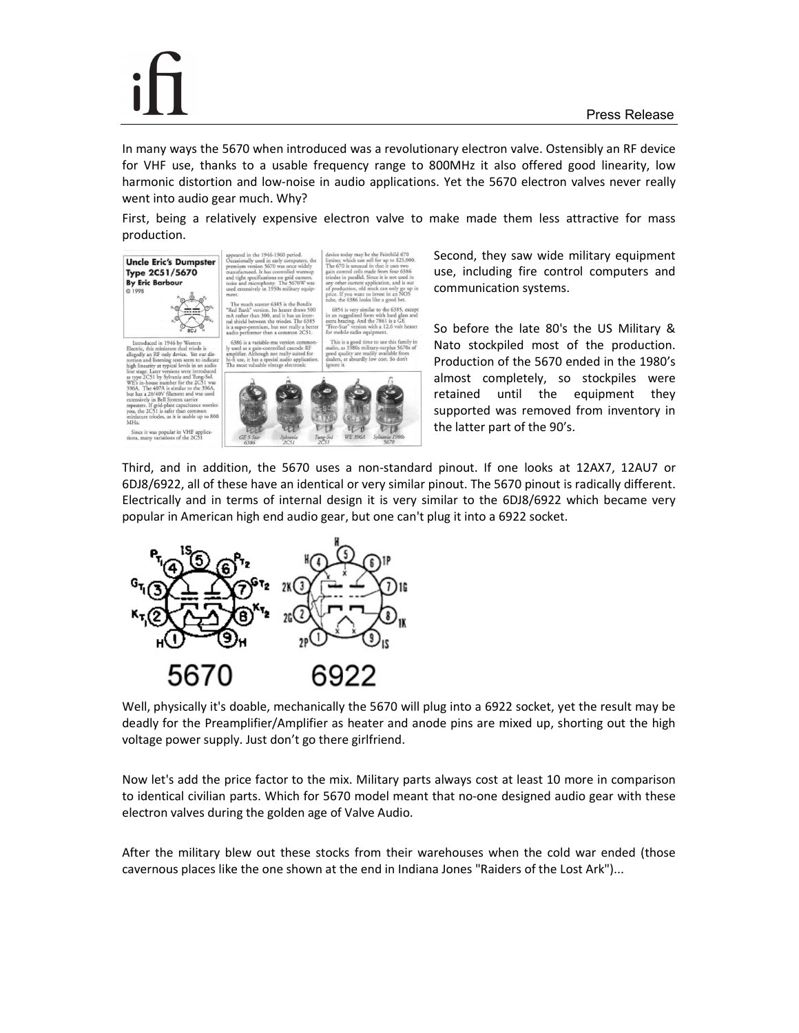was popular in VHF app<br>w variations of the 2C51

In many ways the 5670 when introduced was a revolutionary electron valve. Ostensibly an RF device for VHF use, thanks to a usable frequency range to 800MHz it also offered good linearity, low harmonic distortion and low-noise in audio applications. Yet the 5670 electron valves never really went into audio gear much. Why?

First, being a relatively expensive electron valve to make made them less attractive for mass production.





Second, they saw wide military equipment use, including fire control computers and communication systems.

So before the late 80's the US Military & Nato stockpiled most of the production. Production of the 5670 ended in the 1980's almost completely, so stockpiles were retained until the equipment they supported was removed from inventory in the latter part of the 90's.

Third, and in addition, the 5670 uses a non-standard pinout. If one looks at 12AX7, 12AU7 or 6DJ8/6922, all of these have an identical or very similar pinout. The 5670 pinout is radically different. Electrically and in terms of internal design it is very similar to the 6DJ8/6922 which became very popular in American high end audio gear, but one can't plug it into a 6922 socket.



Well, physically it's doable, mechanically the 5670 will plug into a 6922 socket, yet the result may be deadly for the Preamplifier/Amplifier as heater and anode pins are mixed up, shorting out the high voltage power supply. Just don't go there girlfriend.

Now let's add the price factor to the mix. Military parts always cost at least 10 more in comparison to identical civilian parts. Which for 5670 model meant that no-one designed audio gear with these electron valves during the golden age of Valve Audio.

After the military blew out these stocks from their warehouses when the cold war ended (those cavernous places like the one shown at the end in Indiana Jones "Raiders of the Lost Ark")...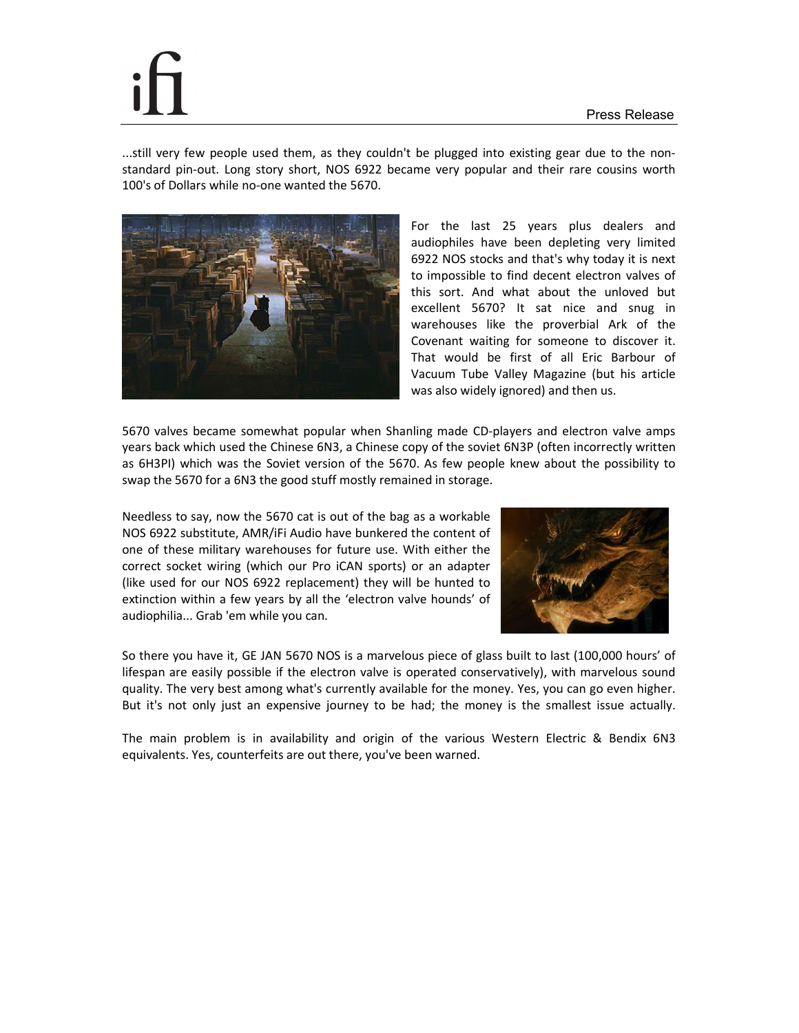...still very few people used them, as they couldn't be plugged into existing gear due to the nonstandard pin-out. Long story short, NOS 6922 became very popular and their rare cousins worth 100's of Dollars while no-one wanted the 5670.



For the last 25 years plus dealers and audiophiles have been depleting very limited 6922 NOS stocks and that's why today it is next to impossible to find decent electron valves of this sort. And what about the unloved but excellent 5670? It sat nice and snug in warehouses like the proverbial Ark of the Covenant waiting for someone to discover it. That would be first of all Eric Barbour of Vacuum Tube Valley Magazine (but his article was also widely ignored) and then us.

5670 valves became somewhat popular when Shanling made CD-players and electron valve amps years back which used the Chinese 6N3, a Chinese copy of the soviet 6N3P (often incorrectly written as 6H3PI) which was the Soviet version of the 5670. As few people knew about the possibility to swap the 5670 for a 6N3 the good stuff mostly remained in storage.

Needless to say, now the 5670 cat is out of the bag as a workable NOS 6922 substitute, AMR/iFi Audio have bunkered the content of one of these military warehouses for future use. With either the correct socket wiring (which our Pro iCAN sports) or an adapter (like used for our NOS 6922 replacement) they will be hunted to extinction within a few years by all the 'electron valve hounds' of audiophilia... Grab 'em while you can.



So there you have it, GE JAN 5670 NOS is a marvelous piece of glass built to last (100,000 hours' of lifespan are easily possible if the electron valve is operated conservatively), with marvelous sound quality. The very best among what's currently available for the money. Yes, you can go even higher. But it's not only just an expensive journey to be had; the money is the smallest issue actually.

The main problem is in availability and origin of the various Western Electric & Bendix 6N3 equivalents. Yes, counterfeits are out there, you've been warned.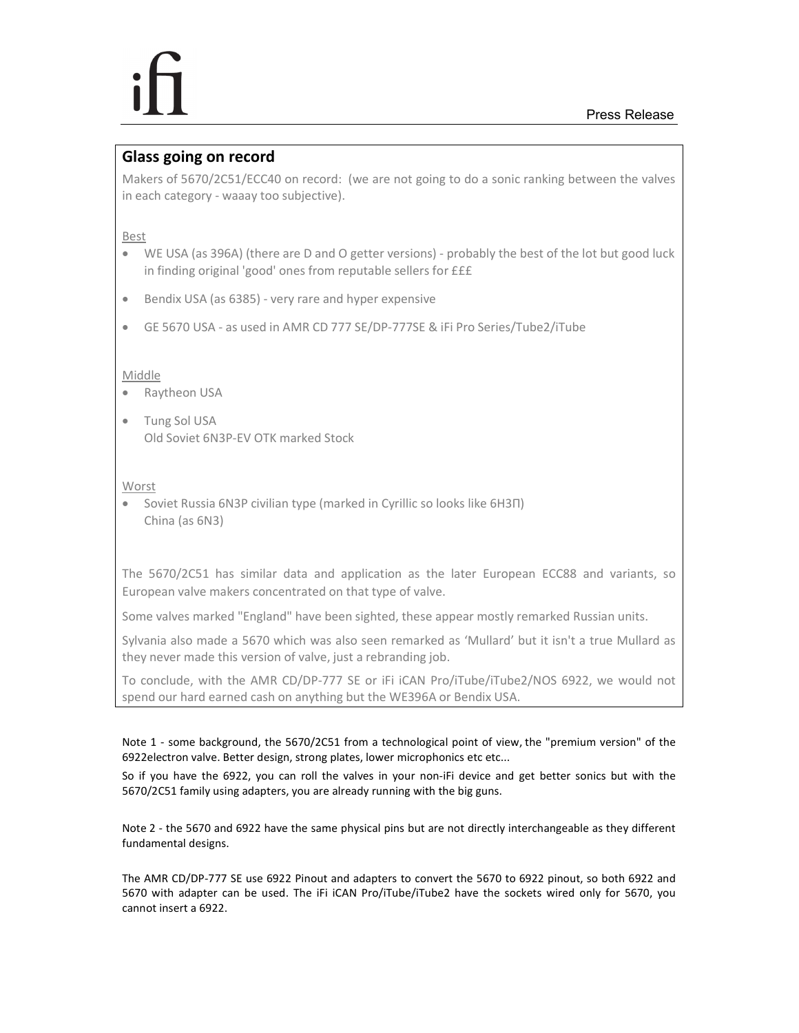## **Glass going on record**

Makers of 5670/2C51/ECC40 on record: (we are not going to do a sonic ranking between the valves in each category - waaay too subjective).

Best

- WE USA (as 396A) (there are D and O getter versions) probably the best of the lot but good luck in finding original 'good' ones from reputable sellers for £££
- Bendix USA (as 6385) very rare and hyper expensive
- GE 5670 USA as used in AMR CD 777 SE/DP-777SE & iFi Pro Series/Tube2/iTube

## Middle

- Raytheon USA
- Tung Sol USA Old Soviet 6N3P-EV OTK marked Stock

Worst

• Soviet Russia 6N3P civilian type (marked in Cyrillic so looks like 6H3Π) China (as 6N3)

The 5670/2C51 has similar data and application as the later European ECC88 and variants, so European valve makers concentrated on that type of valve.

Some valves marked "England" have been sighted, these appear mostly remarked Russian units.

Sylvania also made a 5670 which was also seen remarked as 'Mullard' but it isn't a true Mullard as they never made this version of valve, just a rebranding job.

To conclude, with the AMR CD/DP-777 SE or iFi iCAN Pro/iTube/iTube2/NOS 6922, we would not spend our hard earned cash on anything but the WE396A or Bendix USA.

Note 1 - some background, the 5670/2C51 from a technological point of view, the "premium version" of the 6922electron valve. Better design, strong plates, lower microphonics etc etc...

So if you have the 6922, you can roll the valves in your non-iFi device and get better sonics but with the 5670/2C51 family using adapters, you are already running with the big guns.

Note 2 - the 5670 and 6922 have the same physical pins but are not directly interchangeable as they different fundamental designs.

The AMR CD/DP-777 SE use 6922 Pinout and adapters to convert the 5670 to 6922 pinout, so both 6922 and 5670 with adapter can be used. The iFi iCAN Pro/iTube/iTube2 have the sockets wired only for 5670, you cannot insert a 6922.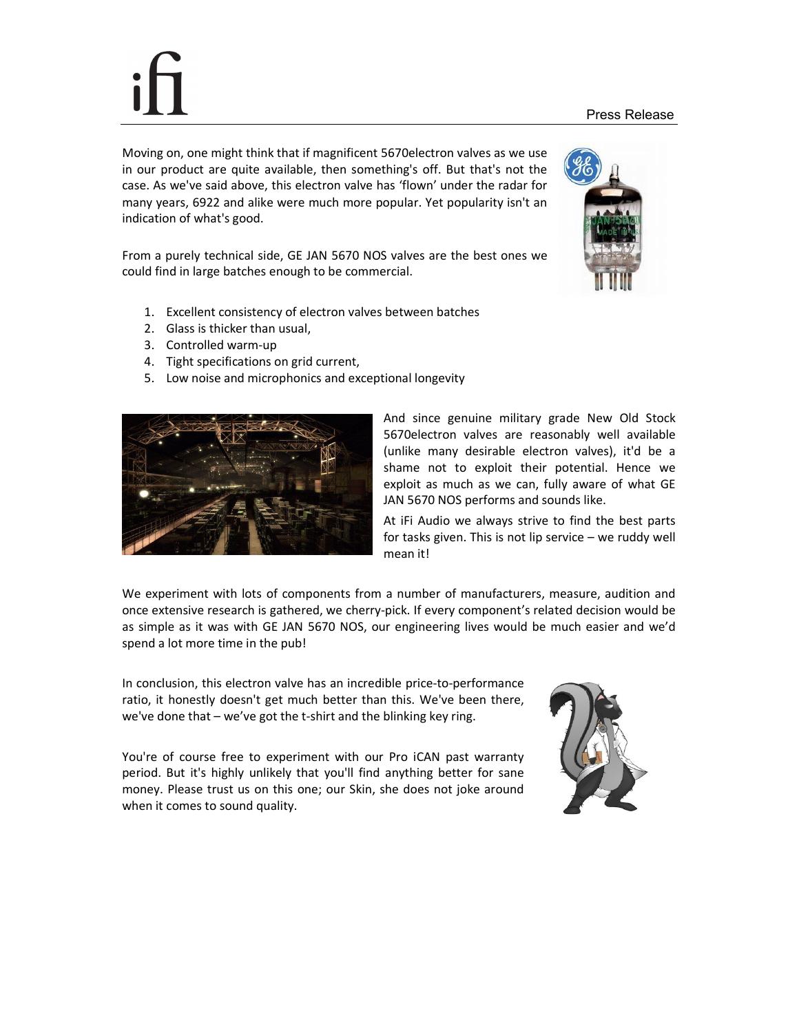### Press Release

Moving on, one might think that if magnificent 5670electron valves as we use in our product are quite available, then something's off. But that's not the case. As we've said above, this electron valve has 'flown' under the radar for many years, 6922 and alike were much more popular. Yet popularity isn't an indication of what's good.

From a purely technical side, GE JAN 5670 NOS valves are the best ones we could find in large batches enough to be commercial.

- 1. Excellent consistency of electron valves between batches
- 2. Glass is thicker than usual,
- 3. Controlled warm-up
- 4. Tight specifications on grid current,
- 5. Low noise and microphonics and exceptional longevity



And since genuine military grade New Old Stock 5670electron valves are reasonably well available (unlike many desirable electron valves), it'd be a shame not to exploit their potential. Hence we exploit as much as we can, fully aware of what GE JAN 5670 NOS performs and sounds like.

At iFi Audio we always strive to find the best parts for tasks given. This is not lip service – we ruddy well mean it!

We experiment with lots of components from a number of manufacturers, measure, audition and once extensive research is gathered, we cherry-pick. If every component's related decision would be as simple as it was with GE JAN 5670 NOS, our engineering lives would be much easier and we'd spend a lot more time in the pub!

In conclusion, this electron valve has an incredible price-to-performance ratio, it honestly doesn't get much better than this. We've been there, we've done that – we've got the t-shirt and the blinking key ring.

You're of course free to experiment with our Pro iCAN past warranty period. But it's highly unlikely that you'll find anything better for sane money. Please trust us on this one; our Skin, she does not joke around when it comes to sound quality.